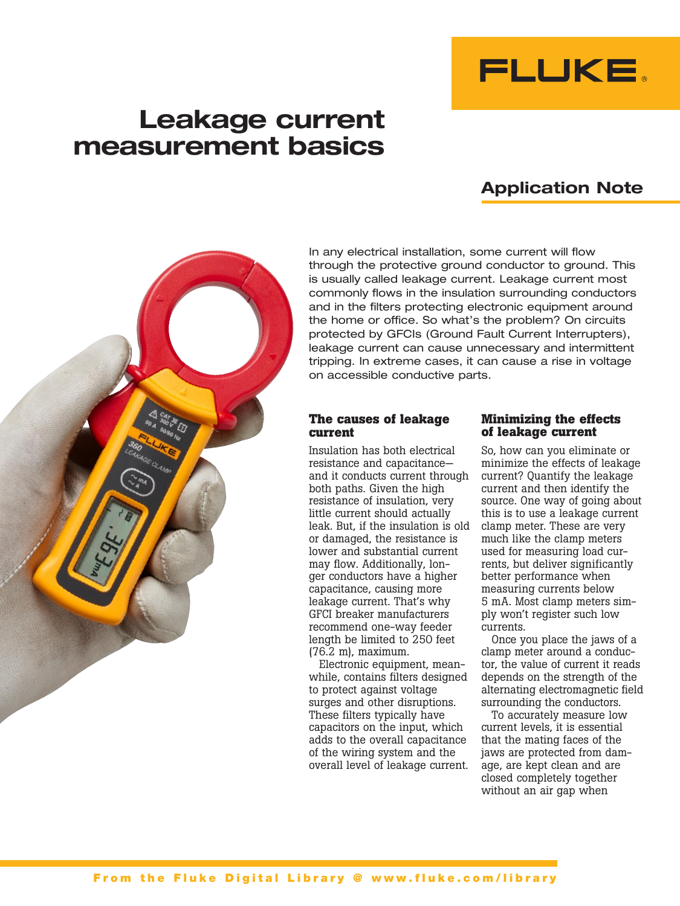

# **Leakage current measurement basics**

# **Application Note**



In any electrical installation, some current will flow through the protective ground conductor to ground. This is usually called leakage current. Leakage current most commonly flows in the insulation surrounding conductors and in the filters protecting electronic equipment around the home or office. So what's the problem? On circuits protected by GFCIs (Ground Fault Current Interrupters), leakage current can cause unnecessary and intermittent tripping. In extreme cases, it can cause a rise in voltage on accessible conductive parts.

#### **The causes of leakage current**

Insulation has both electrical resistance and capacitance and it conducts current through both paths. Given the high resistance of insulation, very little current should actually leak. But, if the insulation is old or damaged, the resistance is lower and substantial current may flow. Additionally, longer conductors have a higher capacitance, causing more leakage current. That's why GFCI breaker manufacturers recommend one-way feeder length be limited to 250 feet (76.2 m), maximum.

Electronic equipment, meanwhile, contains filters designed to protect against voltage surges and other disruptions. These filters typically have capacitors on the input, which adds to the overall capacitance of the wiring system and the overall level of leakage current.

#### **Minimizing the effects of leakage current**

So, how can you eliminate or minimize the effects of leakage current? Quantify the leakage current and then identify the source. One way of going about this is to use a leakage current clamp meter. These are very much like the clamp meters used for measuring load currents, but deliver significantly better performance when measuring currents below 5 mA. Most clamp meters simply won't register such low currents.

Once you place the jaws of a clamp meter around a conductor, the value of current it reads depends on the strength of the alternating electromagnetic field surrounding the conductors.

To accurately measure low current levels, it is essential that the mating faces of the jaws are protected from damage, are kept clean and are closed completely together without an air gap when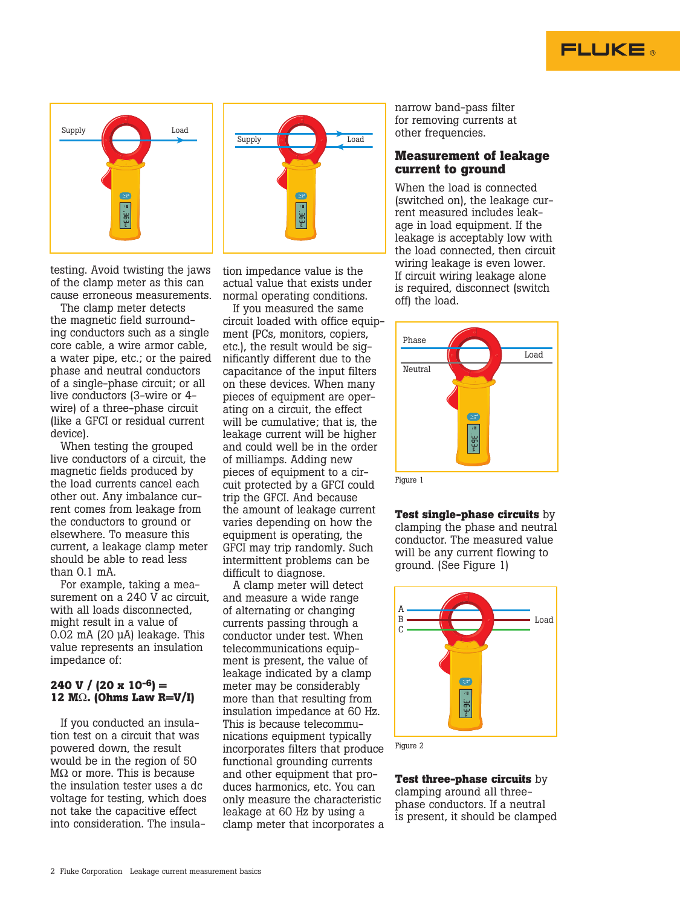





testing. Avoid twisting the jaws of the clamp meter as this can cause erroneous measurements.

The clamp meter detects the magnetic field surrounding conductors such as a single core cable, a wire armor cable, a water pipe, etc.; or the paired phase and neutral conductors of a single-phase circuit; or all live conductors (3-wire or 4 wire) of a three-phase circuit (like a GFCI or residual current device).

When testing the grouped live conductors of a circuit, the magnetic fields produced by the load currents cancel each other out. Any imbalance current comes from leakage from the conductors to ground or elsewhere. To measure this current, a leakage clamp meter should be able to read less than  $0.1 \text{ mA}$ 

For example, taking a measurement on a 240 V ac circuit, with all loads disconnected, might result in a value of 0.02 mA (20 μA) leakage. This value represents an insulation impedance of:

#### **240 V / (20 x 10-6) = 12 M**Ω**. (Ohms Law R=V/I)**

If you conducted an insulation test on a circuit that was powered down, the result would be in the region of 50 M $\Omega$  or more. This is because the insulation tester uses a dc voltage for testing, which does not take the capacitive effect into consideration. The insulation impedance value is the actual value that exists under normal operating conditions.

If you measured the same circuit loaded with office equipment (PCs, monitors, copiers, etc.), the result would be significantly different due to the capacitance of the input filters on these devices. When many pieces of equipment are operating on a circuit, the effect will be cumulative; that is, the leakage current will be higher and could well be in the order of milliamps. Adding new pieces of equipment to a circuit protected by a GFCI could trip the GFCI. And because the amount of leakage current varies depending on how the equipment is operating, the GFCI may trip randomly. Such intermittent problems can be difficult to diagnose.

A clamp meter will detect and measure a wide range of alternating or changing currents passing through a conductor under test. When telecommunications equipment is present, the value of leakage indicated by a clamp meter may be considerably more than that resulting from insulation impedance at 60 Hz. This is because telecommunications equipment typically incorporates filters that produce functional grounding currents and other equipment that produces harmonics, etc. You can only measure the characteristic leakage at 60 Hz by using a clamp meter that incorporates a

narrow band-pass filter for removing currents at other frequencies.

#### **Measurement of leakage current to ground**

When the load is connected (switched on), the leakage current measured includes leakage in load equipment. If the leakage is acceptably low with the load connected, then circuit wiring leakage is even lower. If circuit wiring leakage alone is required, disconnect (switch off) the load.



**Test single-phase circuits** by clamping the phase and neutral conductor. The measured value will be any current flowing to ground. (See Figure 1)



Figure 2

**Test three-phase circuits** by clamping around all threephase conductors. If a neutral is present, it should be clamped